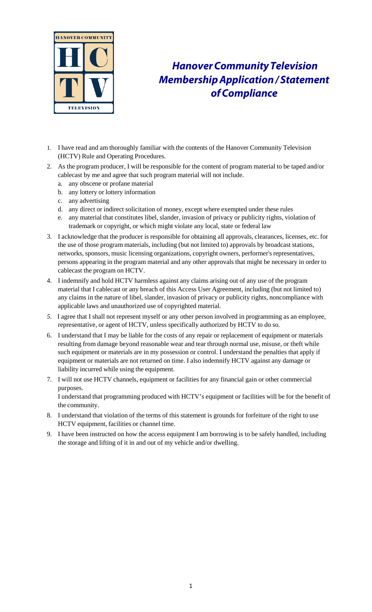

## *HanoverCommunityTelevision MembershipApplication/ Statement ofCompliance*

- 1. I have read and am thoroughly familiar with the contents of the Hanover Community Television (HCTV) Rule and Operating Procedures.
- 2. As the program producer, I will be responsible for the content of program material to be taped and/or cablecast by me and agree that such program material will not include.
	- a. any obscene or profane material
	- b. any lottery or lottery information
	- c. any advertising

the community.

- d. any direct or indirect solicitation of money, except where exempted under these rules
- e. any material that constitutes libel, slander, invasion of privacy or publicity rights, violation of trademark or copyright, or which might violate any local, state or federal law
- 3. I acknowledge that the producer is responsible for obtaining all approvals, clearances, licenses, etc. for the use of those program materials, including (but not limited to) approvals by broadcast stations, networks, sponsors, music licensing organizations, copyright owners, performer's representatives, persons appearing in the program material and any other approvals that might be necessary in order to cablecast the program on HCTV.
- 4. I indemnify and hold HCTV harmless against any claims arising out of any use of the program material that I cablecast or any breach of this Access User Agreement, including (but not limited to) any claims in the nature of libel, slander, invasion of privacy or publicity rights, noncompliance with applicable laws and unauthorized use of copyrighted material.
- *5.* I agree that I shall not represent myself or any other person involved in programming as an employee, representative, or agent of HCTV, unless specifically authorized by HCTV to do so.
- 6. I understand that I may be liable for the costs of any repair or replacement of equipment or materials resulting from damage beyond reasonable wear and tear through normal use, misuse, or theft while such equipment or materials are in my possession or control. I understand the penalties that apply if equipment or materials are not returned on time. I also indemnify HCTV against any damage or liability incurred while using the equipment.
- 7. I will not use HCTV channels, equipment or facilities for any financial gain or other commercial purposes. I understand that programming produced with HCTV's equipment or facilities will be for the benefit of
- 8. I understand that violation of the terms of this statement is grounds for forfeiture of the right to use HCTV equipment, facilities or channel time.
- 9. I have been instructed on how the access equipment I am borrowing is to be safely handled, including the storage and lifting of it in and out of my vehicle and/or dwelling.